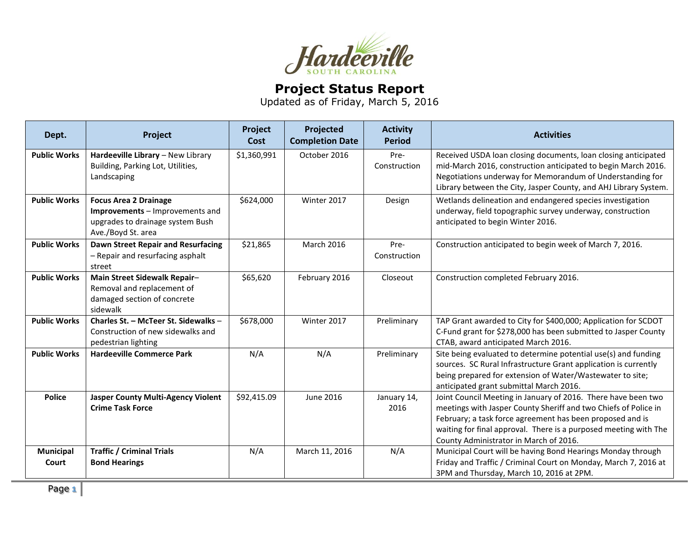

## **Project Status Report**

Updated as of Friday, March 5, 2016

| Dept.               | Project                                                                                                                   | Project<br>Cost | Projected<br><b>Completion Date</b> | <b>Activity</b><br><b>Period</b> | <b>Activities</b>                                                                                                                                                                                                                                                                                           |
|---------------------|---------------------------------------------------------------------------------------------------------------------------|-----------------|-------------------------------------|----------------------------------|-------------------------------------------------------------------------------------------------------------------------------------------------------------------------------------------------------------------------------------------------------------------------------------------------------------|
| <b>Public Works</b> | Hardeeville Library - New Library<br>Building, Parking Lot, Utilities,<br>Landscaping                                     | \$1,360,991     | October 2016                        | Pre-<br>Construction             | Received USDA loan closing documents, loan closing anticipated<br>mid-March 2016, construction anticipated to begin March 2016.<br>Negotiations underway for Memorandum of Understanding for<br>Library between the City, Jasper County, and AHJ Library System.                                            |
| <b>Public Works</b> | <b>Focus Area 2 Drainage</b><br>Improvements - Improvements and<br>upgrades to drainage system Bush<br>Ave./Boyd St. area | \$624,000       | Winter 2017                         | Design                           | Wetlands delineation and endangered species investigation<br>underway, field topographic survey underway, construction<br>anticipated to begin Winter 2016.                                                                                                                                                 |
| <b>Public Works</b> | <b>Dawn Street Repair and Resurfacing</b><br>- Repair and resurfacing asphalt<br>street                                   | \$21,865        | <b>March 2016</b>                   | Pre-<br>Construction             | Construction anticipated to begin week of March 7, 2016.                                                                                                                                                                                                                                                    |
| <b>Public Works</b> | Main Street Sidewalk Repair-<br>Removal and replacement of<br>damaged section of concrete<br>sidewalk                     | \$65,620        | February 2016                       | Closeout                         | Construction completed February 2016.                                                                                                                                                                                                                                                                       |
| <b>Public Works</b> | Charles St. - McTeer St. Sidewalks -<br>Construction of new sidewalks and<br>pedestrian lighting                          | \$678,000       | Winter 2017                         | Preliminary                      | TAP Grant awarded to City for \$400,000; Application for SCDOT<br>C-Fund grant for \$278,000 has been submitted to Jasper County<br>CTAB, award anticipated March 2016.                                                                                                                                     |
| <b>Public Works</b> | <b>Hardeeville Commerce Park</b>                                                                                          | N/A             | N/A                                 | Preliminary                      | Site being evaluated to determine potential use(s) and funding<br>sources. SC Rural Infrastructure Grant application is currently<br>being prepared for extension of Water/Wastewater to site;<br>anticipated grant submittal March 2016.                                                                   |
| <b>Police</b>       | <b>Jasper County Multi-Agency Violent</b><br><b>Crime Task Force</b>                                                      | \$92,415.09     | June 2016                           | January 14,<br>2016              | Joint Council Meeting in January of 2016. There have been two<br>meetings with Jasper County Sheriff and two Chiefs of Police in<br>February; a task force agreement has been proposed and is<br>waiting for final approval. There is a purposed meeting with The<br>County Administrator in March of 2016. |
| Municipal<br>Court  | <b>Traffic / Criminal Trials</b><br><b>Bond Hearings</b>                                                                  | N/A             | March 11, 2016                      | N/A                              | Municipal Court will be having Bond Hearings Monday through<br>Friday and Traffic / Criminal Court on Monday, March 7, 2016 at<br>3PM and Thursday, March 10, 2016 at 2PM.                                                                                                                                  |